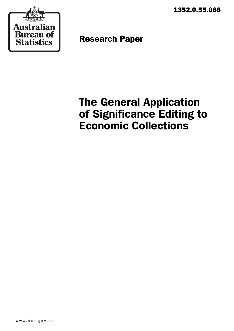1352.0.55.066



Research Paper

# The General Application of Significance Editing to Economic Collections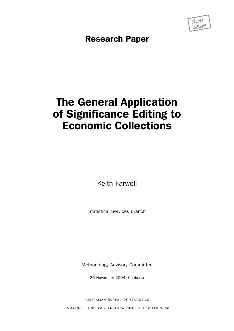

Research Paper

# The General Application of Significance Editing to Economic Collections

Keith Farwell

Statistical Services Branch

Methodology Advisory Committee

26 November 2004, Canberra

AUSTRALIAN BUREAU OF STATISTICS

EMBARGO: 11.30 AM (CANBERRA TIME) THU 16 FEB 2006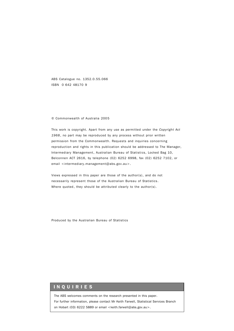ABS Catalogue no. 1352.0.55.066 ISBN 0 642 48170 9

#### © Commonwealth of Australia 2005

This work is copyright. Apart from any use as permitted under the *Copyright Act 1968*, no part may be reproduced by any process without prior written permission from the Commonwealth. Requests and inquiries concerning reproduction and rights in this publication should be addressed to The Manager, Intermediary Management, Australian Bureau of Statistics, Locked Bag 10, Belconnen ACT 2616, by telephone (02) 6252 6998, fax (02) 6252 7102, or email <intermediary.management@abs.gov.au>.

Views expressed in this paper are those of the author(s), and do not necessarily represent those of the Australian Bureau of Statistics. Where quoted, they should be attributed clearly to the author(s).

Produced by the Australian Bureau of Statistics

#### INQUIRIES

The ABS welcomes comments on the research presented in this paper. For further information, please contact Mr Keith Farwell, Statistical Services Branch on Hobart (03) 6222 5889 or email <keith.farwell@abs.gov.au>.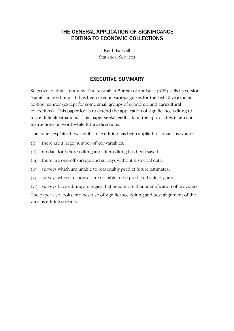# THE GENERAL APPLICATION OF SIGNIFICANCE EDITING TO ECONOMIC COLLECTIONS

Keith Farwell Statistical Services

# EXECUTIVE SUMMARY

Selective editing is not new. The Australian Bureau of Statistics (ABS) calls its version 'significance editing'. It has been used in various guises for the last 10 years in an ad-hoc manner (except for some small groups of economic and agricultural collections). This paper looks to extend the application of significance editing to more difficult situations. This paper seeks feedback on the approaches taken and instructions on worthwhile future directions.

The paper explains how significance editing has been applied to situations where:

- (i) there are a large number of key variables;
- (ii) no data for before editing and after editing has been saved;
- (iii) there are one-off surveys and surveys without historical data;
- (iv) surveys which are unable to reasonably predict future estimates;
- (v) surveys where responses are not able to be predicted suitably; and
- (vi) surveys have editing strategies that need more than identification of providers.

The paper also looks into best use of significance editing and best alignment of the various editing streams.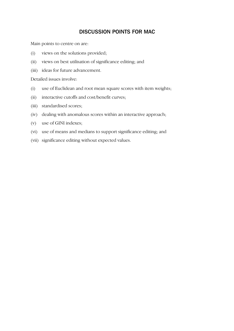# DISCUSSION POINTS FOR MAC

Main points to centre on are:

- (i) views on the solutions provided;
- (ii) views on best utilisation of significance editing; and
- (iii) ideas for future advancement.

Detailed issues involve:

- (i) use of Euclidean and root mean square scores with item weights;
- (ii) interactive cutoffs and cost/benefit curves;
- (iii) standardised scores;
- (iv) dealing with anomalous scores within an interactive approach;
- (v) use of GINI indexes;
- (vi) use of means and medians to support significance editing; and
- (vii) significance editing without expected values.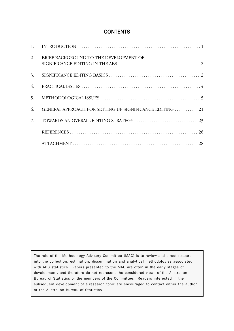# **CONTENTS**

| 2. | BRIEF BACKGROUND TO THE DEVELOPMENT OF<br>SIGNIFICANCE EDITING IN THE ABS $\ldots \ldots \ldots \ldots \ldots \ldots \ldots \ldots \ldots \ldots \ldots$ |
|----|----------------------------------------------------------------------------------------------------------------------------------------------------------|
| 3. |                                                                                                                                                          |
| 4. |                                                                                                                                                          |
| 5. |                                                                                                                                                          |
| 6. | GENERAL APPROACH FOR SETTING UP SIGNIFICANCE EDITING  21                                                                                                 |
| 7. |                                                                                                                                                          |
|    |                                                                                                                                                          |
|    |                                                                                                                                                          |

The role of the Methodology Advisory Committee (MAC) is to review and direct research into the collection, estimation, dissemination and analytical methodologies associated with ABS statistics. Papers presented to the MAC are often in the early stages of development, and therefore do not represent the considered views of the Australian Bureau of Statistics or the members of the Committee. Readers interested in the subsequent development of a research topic are encouraged to contact either the author or the Australian Bureau of Statistics.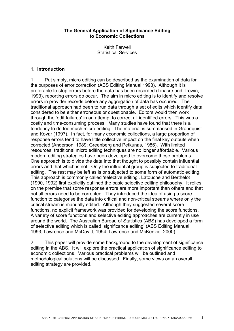#### **The General Application of Significance Editing to Economic Collections**

Keith Farwell Statistical Services

## **1. Introduction**

1 Put simply, micro editing can be described as the examination of data for the purposes of error correction (ABS Editing Manual,1993). Although it is preferable to stop errors before the data has been recorded (Linacre and Trewin, 1993), reporting errors do occur. The aim in micro editing is to identify and resolve errors in provider records before any aggregation of data has occurred. The traditional approach had been to run data through a set of edits which identify data considered to be either erroneous or questionable. Editors would then work through the 'edit failures' in an attempt to correct all identified errors. This was a costly and time-consuming process. Many studies have found that there is a tendency to do too much micro editing. The material is summarised in Grandquist and Kovar (1997). In fact, for many economic collections, a large proportion of response errors tend to have little collective impact on the final key outputs when corrected (Anderson, 1989; Greenberg and Petkunas, 1986). With limited resources, traditional micro editing techniques are no longer affordable. Various modern editing strategies have been developed to overcome these problems. One approach is to divide the data into that thought to possibly contain influential errors and that which is not. Only the influential group is subjected to traditional editing. The rest may be left as is or subjected to some form of automatic editing. This approach is commonly called 'selective editing'. Latouche and Berthelot (1990, 1992) first explicitly outlined the basic selective editing philosophy. It relies on the premise that some response errors are more important than others and that not all errors need to be corrected. They introduced the idea of using a score function to categorise the data into critical and non-critical streams where only the critical stream is manually edited. Although they suggested several score functions, no explicit framework was provided for developing the score functions. A variety of score functions and selective editing approaches are currently in use around the world. The Australian Bureau of Statistics (ABS) has developed a form of selective editing which is called 'significance editing' (ABS Editing Manual, 1993; Lawrence and McDavitt, 1994; Lawrence and McKenzie, 2000).

2 This paper will provide some background to the development of significance editing in the ABS. It will explore the practical application of significance editing to economic collections. Various practical problems will be outlined and methodological solutions will be discussed. Finally, some views on an overall editing strategy are provided.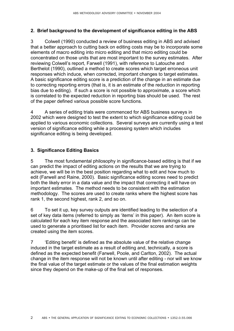## **2. Brief background to the development of significance editing in the ABS**

3 Colwell (1990) conducted a review of business editing in ABS and advised that a better approach to cutting back on editing costs may be to incorporate some elements of macro editing into micro editing and that micro editing could be concentrated on those units that are most important to the survey estimates. After reviewing Colwell's report, Farwell (1991), with reference to Latouche and Berthelot (1990), outlined a method to create scores which target erroneous unit responses which induce, when corrected, important changes to target estimates. A basic significance editing score is a prediction of the change in an estimate due to correcting reporting errors (that is, it is an estimate of the reduction in reporting bias due to editing). If such a score is not possible to approximate, a score which is correlated to the expected reduction in reporting bias should be used. The rest of the paper defined various possible score functions.

4 A series of editing trials were commenced for ABS business surveys in 2002 which were designed to test the extent to which significance editing could be applied to various economic collections. Several surveys are currently using a test version of significance editing while a processing system which includes significance editing is being developed.

## **3. Significance Editing Basics**

5 The most fundamental philosophy in significance-based editing is that if we can predict the impact of editing actions on the results that we are trying to achieve, we will be in the best position regarding what to edit and how much to edit (Farwell and Raine, 2000). Basic significance editing scores need to predict both the likely error in a data value and the impact that correcting it will have on important estimates. The method needs to be consistent with the estimation methodology. The scores are used to create ranks where the highest score has rank 1, the second highest, rank 2, and so on.

6 To set it up, key survey outputs are identified leading to the selection of a set of key data items (referred to simply as 'items' in this paper). An item score is calculated for each key item response and the associated item rankings can be used to generate a prioritised list for each item. Provider scores and ranks are created using the item scores.

7 ëEditing benefití is defined as the absolute value of the relative change induced in the target estimate as a result of editing and, technically, a score is defined as the expected benefit (Farwell, Poole, and Carlton, 2002). The actual change in the item response will not be known until after editing - nor will we know the final value of the target estimate or the values of the final estimation weights since they depend on the make-up of the final set of responses.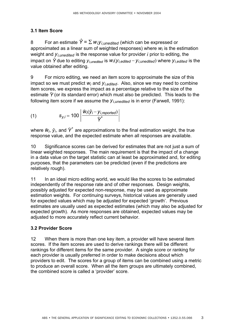# **3.1 Item Score**

8 For an estimate  $\hat{Y} = \sum w_i y_i_{\text{Lunedited}}$  (which can be expressed or approximated as a linear sum of weighted responses) where  $w_i$  is the estimation weight and  $y_{i,$ *unedited* is the response value for provider  $i$  prior to editing, the impact on  $\hat{Y}$  due to editing  $y_{i,unedited}$  is  $W_i(y_{i,edited} - y_{i,unedited})$  where  $y_{i,edited}$  is the value obtained after editing.

9 For micro editing, we need an item score to approximate the size of this impact so we must predict  $w_i$  and  $y_i$ , *edited*. Also, since we may need to combine item scores, we express the impact as a percentage relative to the size of the estimate  $\hat{Y}$  (or its standard error) which must also be predicted. This leads to the following item score if we assume the  $y_i$ <sub>*unedited* is in error (Farwell, 1991):</sub>

(1) 
$$
S_{y,i} = 100 \left| \frac{\hat{w}_i(\hat{y}_i - y_{i,reported})}{\hat{Y}^*} \right|
$$

where  $\hat{w}_i$ ,  $\hat{y}_i$ , and  $\hat{Y}^*$  are approximations to the final estimation weight, the true response value, and the expected estimate when all responses are available.

10 Significance scores can be derived for estimates that are not just a sum of linear weighted responses. The main requirement is that the impact of a change in a data value on the target statistic can at least be approximated and, for editing purposes, that the parameters can be predicted (even if the predictions are relatively rough).

11 In an ideal micro editing world, we would like the scores to be estimated independently of the response rate and of other responses. Design weights, possibly adjusted for expected non-response, may be used as approximate estimation weights. For continuing surveys, historical values are generally used for expected values which may be adjusted for expected 'growth'. Previous estimates are usually used as expected estimates (which may also be adjusted for expected growth). As more responses are obtained, expected values may be adjusted to more accurately reflect current behavior.

# **3.2 Provider Score**

12 When there is more than one key item, a provider will have several item scores. If the item scores are used to derive rankings there will be different rankings for different items for the same provider. A single score or ranking for each provider is usually preferred in order to make decisions about which providers to edit. The scores for a group of items can be combined using a metric to produce an overall score. When all the item groups are ultimately combined, the combined score is called a 'provider' score.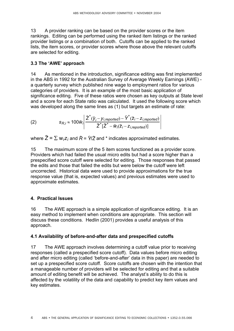13 A provider ranking can be based on the provider scores or the item rankings. Editing can be performed using the ranked item listings or the ranked provider listings or a combination of both. Cutoffs can be applied to the ranked lists, the item scores, or provider scores where those above the relevant cutoffs are selected for editing.

## **3.3 The ëAWEí approach**

14 As mentioned in the introduction, significance editing was first implemented in the ABS in 1992 for the Australian Survey of Average Weekly Earnings (AWE) a quarterly survey which published nine wage to employment ratios for various categories of providers. It is an example of the most basic application of significance editing. Five of these ratios were chosen as key outputs at State level and a score for each State ratio was calculated. It used the following score which was developed along the same lines as (1) but targets an estimate of rate:

(2) 
$$
s_{R,i} \approx 100 \hat{w}_i \left| \frac{\hat{Z}^*(\hat{y}_i - y_{i, reported}) - \hat{Y}^*(\hat{z}_i - z_{i, reported})}{\hat{Z}^*(\hat{Z}^* - \hat{w}_i(\hat{z}_i - z_{i, reported})]} \right|
$$

where  $\hat{Z} = \sum w_i z_i$  and  $\hat{R} = \hat{Y}/\hat{Z}$  and  $*$  indicates approximated estimates.

15 The maximum score of the 5 item scores functioned as a provider score. Providers which had failed the usual micro edits but had a score higher than a prespecified score cutoff were selected for editing. Those responses that passed the edits and those that failed the edits but were below the cutoff were left uncorrected. Historical data were used to provide approximations for the true response value (that is, expected values) and previous estimates were used to approximate estimates.

## **4. Practical Issues**

16 The AWE approach is a simple application of significance editing. It is an easy method to implement when conditions are appropriate. This section will discuss these conditions. Hedlin (2001) provides a useful analysis of this approach.

## **4.1 Availability of before-and-after data and prespecified cutoffs**

17 The AWE approach involves determining a cutoff value prior to receiving responses (called a prespecified score cutoff). Data values before micro editing and after micro editing (called 'before-and-after' data in this paper) are needed to set up a prespecified score cutoff. Score cutoffs are chosen with the intention that a manageable number of providers will be selected for editing and that a suitable amount of editing benefit will be achieved. The analyst's ability to do this is affected by the volatility of the data and capability to predict key item values and key estimates.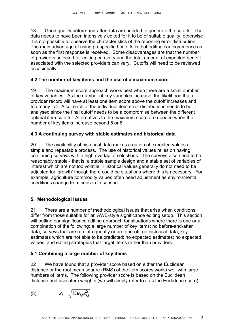18 Good quality before-and-after data are needed to generate the cutoffs. The data needs to have been intensively edited for it to be of suitable quality, otherwise it is not possible to observe the characteristics of the reporting error distribution. The main advantage of using prespecified cutoffs is that editing can commence as soon as the first response is received. Some disadvantages are that the number of providers selected for editing can vary and the total amount of expected benefit associated with the selected providers can vary. Cutoffs will need to be reviewed occasionally.

## **4.2 The number of key items and the use of a maximum score**

19 The maximum score approach works best when there are a small number of key variables. As the number of key variables increase, the likelihood that a provider record will have at least one item score above the cutoff increases and too many fail. Also, each of the individual item error distributions needs to be analysed since the final cutoff needs to be a compromise between the different optimal item cutoffs. Alternatives to the maximum score are needed when the number of key items increase beyond 5 or 6.

## **4.3 A continuing survey with stable estimates and historical data**

20 The availability of historical data makes creation of expected values a simple and repeatable process. The use of historical values relies on having continuing surveys with a high overlap of selections. The surveys also need to be reasonably stable - that is, a stable sample design and a stable set of variables of interest which are not too volatile. Historical values generally do not need to be adjusted for 'growth' though there could be situations where this is necessary. For example, agriculture commodity values often need adjustment as environmental conditions change from season to season.

## **5. Methodological issues**

21 There are a number of methodological issues that arise when conditions differ from those suitable for an AWE-style significance editing setup. This section will outline our significance editing approach for situations where there is one or a combination of the following: a large number of key items; no before-and-after data; surveys that are run infrequently or are one-off; no historical data; key estimates which are not able to be predicted; no expected estimates; no expected values; and editing strategies that target items rather than providers.

## **5.1 Combining a large number of key items**

22 We have found that a provider score based on either the Euclidean distance or the root mean square (RMS) of the item scores works well with large numbers of items. The following provider score is based on the Euclidean distance and uses item weights (we will simply refer to it as the Euclidean score):

$$
(3) \tSi = \sqrt{\sum a_{i,j} s_{i,j}^2}
$$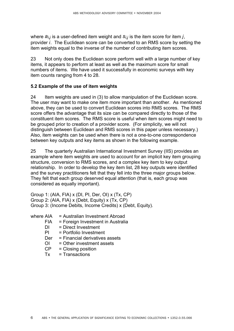where  $a_{i,j}$  is a user-defined item weight and  $s_{i,j}$  is the item score for item *j*, provider *i*. The Euclidean score can be converted to an RMS score by setting the item weights equal to the inverse of the number of contributing item scores.

23 Not only does the Euclidean score perform well with a large number of key items, it appears to perform at least as well as the maximum score for small numbers of items. We have used it successfully in economic surveys with key item counts ranging from 4 to 28.

## **5.2 Example of the use of item weights**

24 Item weights are used in (3) to allow manipulation of the Euclidean score. The user may want to make one item more important than another. As mentioned above, they can be used to convert Euclidean scores into RMS scores. The RMS score offers the advantage that its size can be compared directly to those of the constituent item scores. The RMS score is useful when item scores might need to be grouped prior to creation of a provider score. (For simplicity, we will not distinguish between Euclidean and RMS scores in this paper unless necessary.) Also, item weights can be used when there is not a one-to-one correspondence between key outputs and key items as shown in the following example.

25 The quarterly Australian International Investment Survey (IIS) provides an example where item weights are used to account for an implicit key item grouping structure, conversion to RMS scores, and a complex key item to key output relationship. In order to develop the key item list, 28 key outputs were identified and the survey practitioners felt that they fell into the three major groups below. They felt that each group deserved equal attention (that is, each group was considered as equally important).

Group 1: (AIA, FIA) x (DI, PI, Der, OI) x (Tx, CP) Group 2: (AIA, FIA) x (Debt, Equity) x (Tx, CP) Group 3: (Income Debits, Income Credits) x (Debt, Equity).

- where AIA = Australian Investment Abroad
	- FIA = Foreign Investment in Australia
	- DI = Direct Investment
	- PI = Portfolio Investment
	- Der = Financial derivatives assets
	- $OI = O$ ther investment assets
	- CP = Closing position
	- $Tx = Transactions$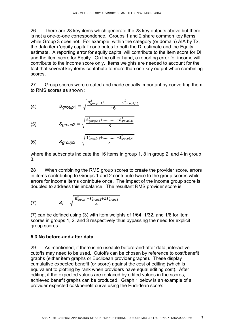26 There are 28 key items which generate the 28 key outputs above but there is not a one-to-one correspondence. Groups 1 and 2 share common key items while Group 3 does not. For example, within the category (or domain) AIA by Tx, the data item 'equity capital' contributes to both the DI estimate and the Equity estimate. A reporting error for equity capital will contribute to the item score for DI and the item score for Equity. On the other hand, a reporting error for income will contribute to the income score only. Items weights are needed to account for the fact that several key items contribute to more than one key output when combining scores.

27 Group scores were created and made equally important by converting them to RMS scores as shown :

(4) 
$$
S_{group1} = \sqrt{\frac{s_{group1,1}^2 + \dots + s_{group1,16}^2}{16}}
$$

(5) 
$$
S_{group2} = \sqrt{\frac{s_{group2,1}^2 + \dots + s_{group2,8}^2}{8}}
$$

(6) 
$$
S_{group3} = \sqrt{\frac{s_{group3,1}^2 + \dots + s_{group3,4}^2}{4}}
$$

where the subscripts indicate the 16 items in group 1, 8 in group 2, and 4 in group 3.

28 When combining the RMS group scores to create the provider score, errors in items contributing to Groups 1 and 2 contribute twice to the group scores while errors for income items contribute once. The impact of the income group score is doubled to address this imbalance. The resultant RMS provider score is:

(7) 
$$
S_j = \sqrt{\frac{s_{group1}^2 + s_{group2}^2 + 2s_{group3}^2}{4}}.
$$

(7) can be defined using (3) with item weights of 1/64, 1/32, and 1/8 for item scores in groups 1, 2, and 3 respectively thus bypassing the need for explicit group scores.

# **5.3 No before-and-after data**

29 As mentioned, if there is no useable before-and-after data, interactive cutoffs may need to be used. Cutoffs can be chosen by reference to cost/benefit graphs (either item graphs or Euclidean provider graphs). These display cumulative expected benefit (or score) against the cost of editing (which is equivalent to plotting by rank when providers have equal editing cost). After editing, if the expected values are replaced by edited values in the scores, achieved benefit graphs can be produced. Graph 1 below is an example of a provider expected cost/benefit curve using the Euclidean score: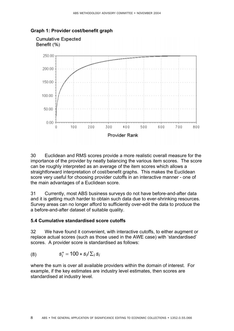

#### **Graph 1: Provider cost/benefit graph**

30 Euclidean and RMS scores provide a more realistic overall measure for the importance of the provider by neatly balancing the various item scores. The score can be roughly interpreted as an average of the item scores which allows a straightforward interpretation of cost/benefit graphs. This makes the Euclidean score very useful for choosing provider cutoffs in an interactive manner - one of the main advantages of a Euclidean score.

31 Currently, most ABS business surveys do not have before-and-after data and it is getting much harder to obtain such data due to ever-shrinking resources. Survey areas can no longer afford to sufficiently over-edit the data to produce the a before-and-after dataset of suitable quality.

#### **5.4 Cumulative standardised score cutoffs**

32 We have found it convenient, with interactive cutoffs, to either augment or replace actual scores (such as those used in the AWE case) with 'standardised' scores. A provider score is standardised as follows:

(8) *si* & = 100 & *si*/!*<sup>i</sup> si*

where the sum is over all available providers within the domain of interest. For example, if the key estimates are industry level estimates, then scores are standardised at industry level.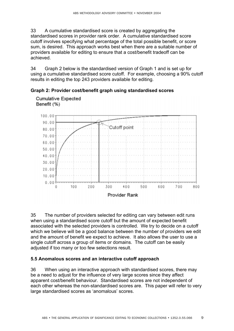33 A cumulative standardised score is created by aggregating the standardised scores in provider rank order. A cumulative standardised score cutoff involves specifying what percentage of the total possible benefit, or score sum, is desired. This approach works best when there are a suitable number of providers available for editing to ensure that a cost/benefit tradeoff can be achieved.

34 Graph 2 below is the standardised version of Graph 1 and is set up for using a cumulative standardised score cutoff. For example, choosing a 90% cutoff results in editing the top 243 providers available for editing.





35 The number of providers selected for editing can vary between edit runs when using a standardised score cutoff but the amount of expected benefit associated with the selected providers is controlled. We try to decide on a cutoff which we believe will be a good balance between the number of providers we edit and the amount of benefit we expect to achieve. It also allows the user to use a single cutoff across a group of items or domains. The cutoff can be easily adjusted if too many or too few selections result.

#### **5.5 Anomalous scores and an interactive cutoff approach**

36 When using an interactive approach with standardised scores, there may be a need to adjust for the influence of very large scores since they affect apparent cost/benefit behaviour. Standardised scores are not independent of each other whereas the non-standardised scores are. This paper will refer to very large standardised scores as 'anomalous' scores.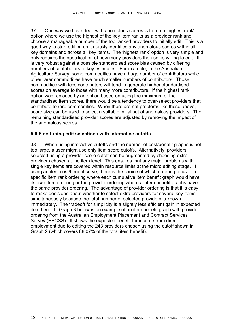37 One way we have dealt with anomalous scores is to run a 'highest rank' option where we use the highest of the key item ranks as a provider rank and choose a manageable number of the top ranked providers to initially edit. This is a good way to start editing as it quickly identifies any anomalous scores within all key domains and across all key items. The 'highest rank' option is very simple and only requires the specification of how many providers the user is willing to edit. It is very robust against a possible standardised score bias caused by differing numbers of contributors to key estimates. For example, in the Australian Agriculture Survey, some commodities have a huge number of contributors while other rarer commodities have much smaller numbers of contributors. Those commodities with less contributors will tend to generate higher standardised scores on average to those with many more contributors. If the highest rank option was replaced by an option based on using the maximum of the standardised item scores, there would be a tendency to over-select providers that contribute to rare commodities. When there are not problems like those above, score size can be used to select a suitable initial set of anomalous providers. The remaining standardised provider scores are adjusted by removing the impact of the anomalous scores.

#### **5.6 Fine-tuning edit selections with interactive cutoffs**

38 When using interactive cutoffs and the number of cost/benefit graphs is not too large, a user might use only item score cutoffs. Alternatively, providers selected using a provider score cutoff can be augmented by choosing extra providers chosen at the item level. This ensures that any major problems with single key items are covered within resource limits at the micro editing stage. If using an item cost/benefit curve, there is the choice of which ordering to use - a specific item rank ordering where each cumulative item benefit graph would have its own item ordering or the provider ordering where all item benefit graphs have the same provider ordering. The advantage of provider ordering is that it is easy to make decisions about whether to select extra providers for several key items simultaneously because the total number of selected providers is known immediately. The tradeoff for simplicity is a slightly less efficient gain in expected item benefit. Graph 3 below is an example of an item benefit graph with provider ordering from the Australian Employment Placement and Contract Services Survey (EPCSS). It shows the expected benefit for income from direct employment due to editing the 243 providers chosen using the cutoff shown in Graph 2 (which covers 88.07% of the total item benefit).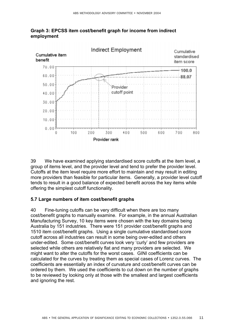



39 We have examined applying standardised score cutoffs at the item level, a group of items level, and the provider level and tend to prefer the provider level. Cutoffs at the item level require more effort to maintain and may result in editing more providers than feasible for particular items. Generally, a provider level cutoff tends to result in a good balance of expected benefit across the key items while offering the simplest cutoff functionality.

#### **5.7 Large numbers of item cost/benefit graphs**

40 Fine-tuning cutoffs can be very difficult when there are too many cost/benefit graphs to manually examine. For example, in the annual Australian Manufacturing Survey, 10 key items were chosen with the key domains being Australia by 151 industries. There were 151 provider cost/benefit graphs and 1510 item cost/benefit graphs. Using a single cumulative standardised score cutoff across all industries can result in some being over-edited and others under-edited. Some cost/benefit curves look very 'curly' and few providers are selected while others are relatively flat and many providers are selected. We might want to alter the cutoffs for the worst cases. GINI coefficients can be calculated for the curves by treating them as special cases of Lorenz curves. The coefficients are essentially an index of curvature and cost/benefit curves can be ordered by them. We used the coefficients to cut down on the number of graphs to be reviewed by looking only at those with the smallest and largest coefficients and ignoring the rest.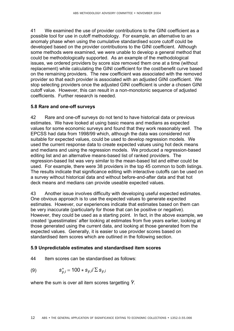41 We examined the use of provider contributions to the GINI coefficient as a possible tool for use in cutoff methodology. For example, an alternative to an anomaly phase when using the cumulative standardised score cutoff could be developed based on the provider contributions to the GINI coefficient. Although some methods were examined, we were unable to develop a general method that could be methodologically supported. As an example of the methodological issues, we ordered providers by score size removed them one at a time (without replacement) while calculating the GINI coefficient for the cost/benefit curve based on the remaining providers. The new coefficient was associated with the removed provider so that each provider is associated with an adjusted GINI coefficient. We stop selecting providers once the adjusted GINI coefficient is under a chosen GINI cutoff value. However, this can result in a non-monotonic sequence of adjusted coefficients. Further research is needed.

## **5.8 Rare and one-off surveys**

42 Rare and one-off surveys do not tend to have historical data or previous estimates. We have looked at using basic means and medians as expected values for some economic surveys and found that they work reasonably well. The EPCSS had data from 1998/99 which, although the data was considered not suitable for expected values, could be used to develop regression models. We used the current response data to create expected values using hot deck means and medians and using the regression models. We produced a regression-based editing list and an alternative means-based list of ranked providers. The regression-based list was very similar to the mean-based list and either could be used. For example, there were 38 providers in the top 45 common to both listings. The results indicate that significance editing with interactive cutoffs can be used on a survey without historical data and without before-and-after data and that hot deck means and medians can provide useable expected values.

43 Another issue involves difficulty with developing useful expected estimates. One obvious approach is to use the expected values to generate expected estimates. However, our experiences indicate that estimates based on them can be very inaccurate (particularly for those that can be positive or negative). However, they could be used as a starting point. In fact, in the above example, we created ëguesstimatesí after looking at estimates from five years earlier, looking at those generated using the current data, and looking at those generated from the expected values. Generally, it is easier to use provider scores based on standardised item scores which are outlined in the following section.

#### **5.9 Unpredictable estimates and standardised item scores**

44 Item scores can be standardised as follows:

$$
\text{(9)} \quad s_{y,i}^* = 100 \times s_{y,i} / \sum s_{y,i}
$$

where the sum is over all item scores targetting  $\hat{Y}$ .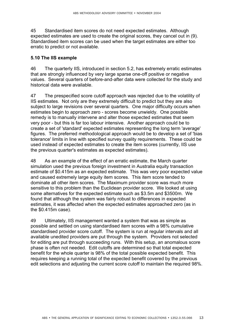45 Standardised item scores do not need expected estimates. Although expected estimates are used to create the original scores, they cancel out in (9). Standardised item scores can be used when the target estimates are either too erratic to predict or not available.

#### **5.10 The IIS example**

46 The quarterly IIS, introduced in section 5.2, has extremely erratic estimates that are strongly influenced by very large sparse one-off positive or negative values. Several quarters of before-and-after data were collected for the study and historical data were available.

47 The prespecified score cutoff approach was rejected due to the volatility of IIS estimates. Not only are they extremely difficult to predict but they are also subject to large revisions over several quarters. One major difficulty occurs when estimates begin to approach zero - scores become unwieldy. One possible remedy is to manually intervene and alter those expected estimates that seem very poor - but this is far too labour intensive. Another approach could be to create a set of 'standard' expected estimates representing the long term 'average' figures. The preferred methodological approach would be to develop a set of 'bias tolerance' limits in line with specified survey quality requirements. These could be used instead of expected estimates to create the item scores (currently, IIS use the previous quarter's estimates as expected estimates).

48 As an example of the effect of an erratic estimate, the March quarter simulation used the previous foreign investment in Australia equity transaction estimate of \$0.415m as an expected estimate. This was very poor expected value and caused extremely large equity item scores. This item score tended to dominate all other item scores. The Maximum provider score was much more sensitive to this problem than the Euclidean provider score. We looked at using some alternatives for the expected estimate such as \$3.5m and \$3500m. We found that although the system was fairly robust to differences in expected estimates, it was affected when the expected estimates approached zero (as in the \$0.415m case).

49 Ultimately, IIS management wanted a system that was as simple as possible and settled on using standardised item scores with a 98% cumulative standardised provider score cutoff. The system is run at regular intervals and all available unedited providers are put through the system. Providers not selected for editing are put through succeeding runs. With this setup, an anomalous score phase is often not needed. Edit cutoffs are determined so that total expected benefit for the whole quarter is 98% of the total possible expected benefit. This requires keeping a running total of the expected benefit covered by the previous edit selections and adjusting the current score cutoff to maintain the required 98%.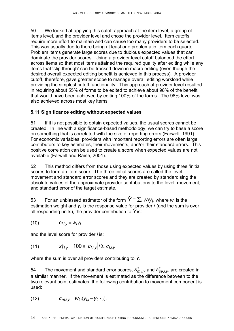50 We looked at applying this cutoff approach at the item level, a group of items level, and the provider level and chose the provider level. Item cutoffs require more effort to maintain and can cause too many providers to be selected. This was usually due to there being at least one problematic item each quarter. Problem items generate large scores due to dubious expected values that can dominate the provider scores. Using a provider level cutoff balanced the effort across items so that most items attained the required quality after editing while any items that 'slip through' can be tracked down in macro editing (even though the desired overall expected editing benefit is achieved in this process). A provider cutoff, therefore, gave greater scope to manage overall editing workload while providing the simplest cutoff functionality. This approach at provider level resulted in requiring about 55% of forms to be edited to achieve about 98% of the benefit that would have been achieved by editing 100% of the forms. The 98% level was also achieved across most key items.

## **5.11 Significance editing without expected values**

51 If it is not possible to obtain expected values, the usual scores cannot be created. In line with a significance-based methodology, we can try to base a score on something that is correlated with the size of reporting errors (Farwell, 1991). For economic variables, providers with important reporting errors are often large contributors to key estimates, their movements, and/or their standard errors. This positive correlation can be used to create a score when expected values are not available (Farwell and Raine, 2001).

52 This method differs from those using expected values by using three 'initial' scores to form an item score. The three initial scores are called the level, movement and standard error scores and they are created by standardising the absolute values of the approximate provider contributions to the level, movement, and standard error of the target estimate.

53 For an unbiassed estimator of the form  $\hat{Y} = \sum_i w_i y_i$ , where  $w_i$  is the estimation weight and  $y_i$  is the response value for provider  $i$  (and the sum is over all responding units), the provider contribution to  $\hat{Y}$  is:

$$
(10) \t C_{l,i,y} = W_i Y_i
$$

and the level score for provider *i* is:

(11) 
$$
s_{i,i,y}^{*} = 100 * |c_{i,i,y}| / \sum |c_{i,i,y}|
$$

where the sum is over all providers contributing to  $\hat{Y}$ .

54 The movement and standard error scores,  $s_{m,i,v}^*$  and  $s_{se,i,v}^*$ , are created in a similar manner. If the movement is estimated as the difference between to the two relevant point estimates, the following contribution to movement component is used:

(12) 
$$
c_{m,i,y} = w_{t,i}(y_{t,i} - y_{t-1,i}).
$$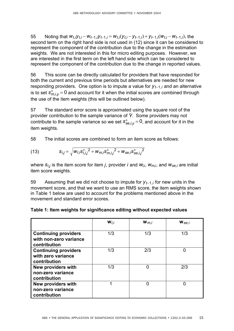55 Noting that  $w_{t,i}y_{t,i} - w_{t-1,i}y_{t-1,i} = w_{t,i}(y_{t,i} - y_{t-1,i}) + y_{t-1,i}(w_{t,i} - w_{t-1,i})$ , the second term on the right hand side is not used in (12) since it can be considered to represent the component of the contribution due to the change in the estimation weights. We are not interested in this for micro editing purposes. However, we are interested in the first term on the left hand side which can be considered to represent the component of the contribution due to the change in reported values.

56 This score can be directly calculated for providers that have responded for both the current and previous time periods but alternatives are needed for new responding providers. One option is to impute a value for  $y_{t-1,i}$  and an alternative is to set  $S_{m,i,v}^* = 0$  and account for it when the initial scores are combined through the use of the item weights (this will be outlined below).

57 The standard error score is approximated using the square root of the provider contribution to the sample variance of  $\hat{Y}$ . Some providers may not contribute to the sample variance so we set  $s_{se,i,v}^* = 0$ , and account for it in the item weights.

58 The initial scores are combined to form an item score as follows:

(13) 
$$
S_{i,j} = \sqrt{W_{l,i} S_{l,i,j}^{*}^2 + W_{m,i} S_{m,i,j}^{*}^2 + W_{se,i} S_{se,i,j}^{*}^2}
$$

where  $s_{i,j}$  is the item score for item *j*, provider *i* and  $W_{i,j}$ ,  $W_{m,i}$ , and  $W_{se,j}$  are initial item score weights.

59 Assuming that we did not choose to impute for  $y_{t-1,i}$  for new units in the movement score, and that we want to use an RMS score, the item weights shown in Table 1 below are used to account for the problems mentioned above in the movement and standard error scores.

|                                                                       | $W_{l,i}$ | $\mathbf{w}_{m,i}$ | $W_{se,i}$ |
|-----------------------------------------------------------------------|-----------|--------------------|------------|
| <b>Continuing providers</b><br>with non-zero variance<br>contribution | 1/3       | 1/3                | 1/3        |
| <b>Continuing providers</b><br>with zero variance<br>contribution     | 1/3       | 2/3                | U          |
| <b>New providers with</b><br>non-zero variance<br>contribution        | 1/3       | 0                  | 2/3        |
| <b>New providers with</b><br>non-zero variance<br>contribution        | 1         | O                  | በ          |

| Table 1: Item weights for significance editing without expected values |  |  |
|------------------------------------------------------------------------|--|--|
|                                                                        |  |  |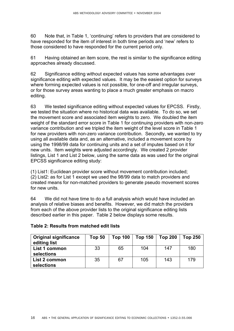60 Note that, in Table 1, ëcontinuingí refers to providers that are considered to have responded for the item of interest in both time periods and 'new' refers to those considered to have responded for the current period only.

61 Having obtained an item score, the rest is similar to the significance editing approaches already discussed.

62 Significance editing without expected values has some advantages over significance editing with expected values. It may be the easiest option for surveys where forming expected values is not possible, for one-off and irregular surveys. or for those survey areas wanting to place a much greater emphasis on macro editing.

63 We tested significance editing without expected values for EPCSS. Firstly, we tested the situation where no historical data was available. To do so, we set the movement score and associated item weights to zero. We doubled the item weight of the standard error score in Table 1 for continuing providers with non-zero variance contribution and we tripled the item weight of the level score in Table 1 for new providers with non-zero variance contribution. Secondly, we wanted to try using all available data and, as an alternative, included a movement score by using the 1998/99 data for continuing units and a set of imputes based on it for new units. Item weights were adjusted accordingly. We created 2 provider listings, List 1 and List 2 below, using the same data as was used for the original EPCSS significance editing study:

(1) List1: Euclidean provider score without movement contribution included; (2) List2: as for List 1 except we used the 98/99 data to match providers and created means for non-matched providers to generate pseudo movement scores for new units.

64 We did not have time to do a full analysis which would have included an analysis of relative biases and benefits. However, we did match the providers from each of the above provider lists to the original significance editing lists described earlier in this paper. Table 2 below displays some results.

| <b>Original significance</b><br>editing list | Top 50 | <b>Top 100</b> | <b>Top 150</b> | <b>Top 200</b> | <b>Top 250</b> |
|----------------------------------------------|--------|----------------|----------------|----------------|----------------|
| List 1 common<br>selections                  | 33     | 65             | 104            | 147            | 180            |
| List 2 common<br>selections                  | 35     | 67             | 105            | 143            | 179            |

## **Table 2: Results from matched edit lists**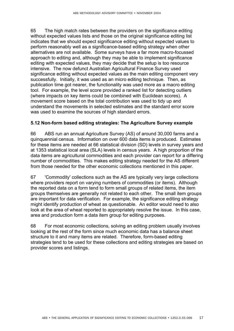65 The high match rates between the providers on the significance editing without expected values lists and those on the original significance editing list indicates that we should expect significance editing without expected values to perform reasonably well as a significance-based editing strategy when other alternatives are not available. Some surveys have a far more macro-focussed approach to editing and, although they may be able to implement significance editing with expected values, they may decide that the setup is too resource intensive. The now defunct Australian Agricultural Finance Survey used significance editing without expected values as the main editing component very successfully. Initially, it was used as an micro editing technique. Then, as publication time got nearer, the functionality was used more as a macro editing tool. For example, the level score provided a ranked list for detecting outliers (where impacts on key items could be combined with Euclidean scores). A movement score based on the total contribution was used to tidy up and understand the movements in selected estimates and the standard error score was used to examine the sources of high standard errors.

#### **5.12 Non-form based editing strategies: The Agriculture Survey example**

66 ABS run an annual Agriculture Survey (AS) of around 30,000 farms and a quinquennial census. Information on over 600 data items is produced. Estimates for these items are needed at 66 statistical division (SD) levels in survey years and at 1353 statistical local area (SLA) levels in census years. A high proportion of the data items are agricultural commodities and each provider can report for a differing number of commodities. This makes editing strategy needed for the AS different from those needed for the other economic collections mentioned in this paper.

67 'Commodity' collections such as the AS are typically very large collections where providers report on varying numbers of commodities (or items). Although the reported data on a form tend to form small groups of related items, the item groups themselves are generally not related to each other. The small item groups are important for data verification. For example, the significance editing strategy might identify production of wheat as questionable. An editor would need to also look at the area of wheat reported to appropriately resolve the issue. In this case, area and production form a data item group for editing purposes.

68 For most economic collections, solving an editing problem usually involves looking at the rest of the form since much economic data has a balance sheet structure to it and many items are related. Therefore, form-based editing strategies tend to be used for these collections and editing strategies are based on provider scores and listings.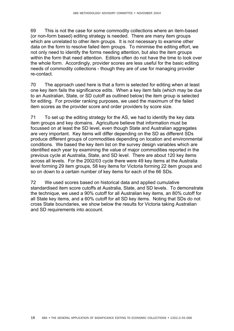69 This is not the case for some commodity collections where an item-based (or non-form based) editing strategy is needed. There are many item groups which are unrelated to other item groups. It is not necessary to examine other data on the form to resolve failed item groups. To minimise the editing effort, we not only need to identify the forms needing attention, but also the item groups within the form that need attention. Editors often do not have the time to look over the whole form. Accordingly, provider scores are less useful for the basic editing needs of commodity collections - though they are of use for managing provider re-contact.

70 The approach used here is that a form is selected for editing when at least one key item fails the significance edits. When a key item fails (which may be due to an Australian, State, or SD cutoff as outlined below) the item group is selected for editing. For provider ranking purposes, we used the maximum of the failed item scores as the provider score and order providers by score size.

71 To set up the editing strategy for the AS, we had to identify the key data item groups and key domains. Agriculture believe that information must be focussed on at least the SD level, even though State and Australian aggregates are very important. Key items will differ depending on the SD as different SDs produce different groups of commodities depending on location and environmental conditions. We based the key item list on the survey design variables which are identified each year by examining the value of major commodities reported in the previous cycle at Australia, State, and SD level. There are about 120 key items across all levels. For the 2002/03 cycle there were 49 key items at the Australia level forming 29 item groups, 58 key items for Victoria forming 22 item groups and so on down to a certain number of key items for each of the 66 SDs.

72 We used scores based on historical data and applied cumulative standardised item score cutoffs at Australia, State, and SD levels. To demonstrate the technique, we used a 90% cutoff for all Australian key items, an 80% cutoff for all State key items, and a 60% cutoff for all SD key items. Noting that SDs do not cross State boundaries, we show below the results for Victoria taking Australian and SD requirements into account.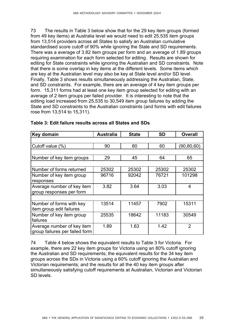73 The results in Table 3 below show that for the 29 key item groups (formed from 49 key items) at Australia level we would need to edit 25,535 item groups from 13,514 providers across all States to satisfy an Australian cumulative standardised score cutoff of 90% while ignoring the State and SD requirements. There was a average of 3.82 item groups per form and an average of 1.89 groups requiring examination for each form selected for editing. Results are shown for editing for State constraints while ignoring the Australian and SD constraints. Note that there is some overlap in key items at the different levels. Some items which are key at the Australian level may also be key at State level and/or SD level. Finally, Table 3 shows results simultaneously addressing the Australian, State, and SD constraints. For example, there are an average of 4 key item groups per form. 15,311 forms had at least one key item group selected for editing with an average of 2 item groups per failed provider. It is interesting to note that the editing load increased from 25,535 to 30,549 item group failures by adding the State and SD constraints to the Australian constraints (and forms with edit failures rose from 13,514 to 15,311).

| Key domain                     | <b>Australia</b> | <b>State</b> | <b>SD</b> | <b>Overall</b>          |
|--------------------------------|------------------|--------------|-----------|-------------------------|
|                                |                  |              |           |                         |
| Cutoff value (%)               | 90               | 80           | 60        | (90, 80, 60)            |
|                                |                  |              |           |                         |
| Number of key item groups      | 29               | 45           | 64        | 65                      |
|                                |                  |              |           |                         |
| Number of forms returned       | 25302            | 25302        | 25302     | 25302                   |
| Number of key item group       | 96716            | 92042        | 76721     | 101298                  |
| responses                      |                  |              |           |                         |
| Average number of key item     | 3.82             | 3.64         | 3.03      | $\overline{\mathbf{4}}$ |
| group responses per form       |                  |              |           |                         |
|                                |                  |              |           |                         |
| Number of forms with key       | 13514            | 11457        | 7902      | 15311                   |
| item group edit failures       |                  |              |           |                         |
| Number of key item group       | 25535            | 18642        | 11183     | 30549                   |
| failures                       |                  |              |           |                         |
| Average number of key item     | 1.89             | 1.63         | 1.42      | $\overline{2}$          |
| group failures per failed form |                  |              |           |                         |

#### **Table 3: Edit failure results across all States and SDs**

74 Table 4 below shows the equivalent results to Table 3 for Victoria. For example, there are 22 key item groups for Victoria using an 80% cutoff ignoring the Australian and SD requirements; the equivalent results for the 34 key item groups across the SDs in Victoria using a 60% cutoff ignoring the Australian and Victorian requirements; and the results for all the 40 key item groups after simultaneously satisfying cutoff requirements at Australian, Victorian and Victorian SD levels.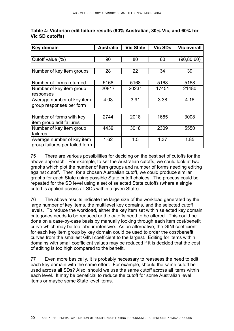| Key domain                     | <b>Australia</b> | <b>Vic State</b> | <b>Vic SDs</b> | <b>Vic overall</b> |
|--------------------------------|------------------|------------------|----------------|--------------------|
|                                |                  |                  |                |                    |
| Cutoff value (%)               | 90               | 80               | 60             | (90,80,60)         |
|                                |                  |                  |                |                    |
| Number of key item groups      | 28               | 22               | 34             | 39                 |
|                                |                  |                  |                |                    |
| Number of forms returned       | 5168             | 5168             | 5168           | 5168               |
| Number of key item group       | 20817            | 20231            | 17451          | 21480              |
| responses                      |                  |                  |                |                    |
| Average number of key item     | 4.03             | 3.91             | 3.38           | 4.16               |
| group responses per form       |                  |                  |                |                    |
|                                |                  |                  |                |                    |
| Number of forms with key       | 2744             | 2018             | 1685           | 3008               |
| item group edit failures       |                  |                  |                |                    |
| Number of key item group       | 4439             | 3018             | 2309           | 5550               |
| failures                       |                  |                  |                |                    |
| Average number of key item     | 1.62             | 1.5              | 1.37           | 1.85               |
| group failures per failed form |                  |                  |                |                    |

# **Table 4: Victorian edit failure results (90% Australian, 80% Vic, and 60% for Vic SD cutoffs)**

75 There are various possibilities for deciding on the best set of cutoffs for the above approach. For example, to set the Australian cutoffs, we could look at two graphs which plot the number of item groups and number of forms needing editing against cutoff. Then, for a chosen Australian cutoff, we could produce similar graphs for each State using possible State cutoff choices. The process could be repeated for the SD level using a set of selected State cutoffs (where a single cutoff is applied across all SDs within a given State).

76 The above results indicate the large size of the workload generated by the large number of key items, the multilevel key domains, and the selected cutoff levels. To reduce the workload, either the key item set within selected key domain categories needs to be reduced or the cutoffs need to be altered. This could be done on a case-by-case basis by manually looking through each item cost/benefit curve which may be too labour-intensive. As an alternative, the GINI coefficient for each key item group by key domain could be used to order the cost/benefit curves from the smallest GINI coefficient to the largest. Editing for items within domains with small coefficient values may be reduced if it is decided that the cost of editing is too high compared to the benefit.

77 Even more basically, it is probably necessary to reassess the need to edit each key domain with the same effort. For example, should the same cutoff be used across all SDs? Also, should we use the same cutoff across all items within each level. It may be beneficial to reduce the cutoff for some Australian level items or maybe some State level items.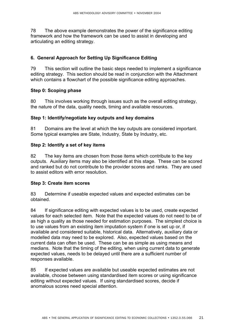78 The above example demonstrates the power of the significance editing framework and how the framework can be used to assist in developing and articulating an editing strategy.

## **6. General Approach for Setting Up Significance Editing**

79 This section will outline the basic steps needed to implement a significance editing strategy. This section should be read in conjunction with the Attachment which contains a flowchart of the possible significance editing approaches.

#### **Step 0: Scoping phase**

80 This involves working through issues such as the overall editing strategy, the nature of the data, quality needs, timing and available resources.

#### **Step 1: Identify/negotiate key outputs and key domains**

81 Domains are the level at which the key outputs are considered important. Some typical examples are State, Industry, State by Industry, etc.

#### **Step 2: Identify a set of key items**

82 The key items are chosen from those items which contribute to the key outputs. Auxiliary items may also be identified at this stage. These can be scored and ranked but do not contribute to the provider scores and ranks. They are used to assist editors with error resolution.

#### **Step 3: Create item scores**

83 Determine if useable expected values and expected estimates can be obtained.

84 If significance editing with expected values is to be used, create expected values for each selected item. Note that the expected values do not need to be of as high a quality as those needed for estimation purposes. The simplest choice is to use values from an existing item imputation system if one is set up or, if available and considered suitable, historical data. Alternatively, auxiliary data or modelled data may need to be explored. Also, expected values based on the current data can often be used. These can be as simple as using means and medians. Note that the timing of the editing, when using current data to generate expected values, needs to be delayed until there are a sufficient number of responses available.

85 If expected values are available but useable expected estimates are not available, choose between using standardised item scores or using significance editing without expected values. If using standardised scores, decide if anomalous scores need special attention.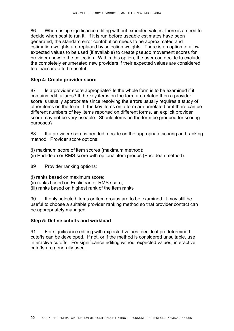86 When using significance editing without expected values, there is a need to decide when best to run it. If it is run before useable estimates have been generated, the standard error contribution needs to be approximated and estimation weights are replaced by selection weights. There is an option to allow expected values to be used (if available) to create pseudo movement scores for providers new to the collection. Within this option, the user can decide to exclude the completely enumerated new providers if their expected values are considered too inaccurate to be useful.

## **Step 4: Create provider score**

87 Is a provider score appropriate? Is the whole form is to be examined if it contains edit failures? If the key items on the form are related then a provider score is usually appropriate since resolving the errors usually requires a study of other items on the form. If the key items on a form are unrelated or if there can be different numbers of key items reported on different forms, an explicit provider score may not be very useable. Should items on the form be grouped for scoring purposes?

88 If a provider score is needed, decide on the appropriate scoring and ranking method. Provider score options:

(i) maximum score of item scores (maximum method);

(ii) Euclidean or RMS score with optional item groups (Euclidean method).

89 Provider ranking options:

- (i) ranks based on maximum score;
- (ii) ranks based on Euclidean or RMS score;
- (iii) ranks based on highest rank of the item ranks

90 If only selected items or item groups are to be examined, it may still be useful to choose a suitable provider ranking method so that provider contact can be appropriately managed.

#### **Step 5: Define cutoffs and workload**

91 For significance editing with expected values, decide if predetermined cutoffs can be developed. If not, or if the method is considered unsuitable, use interactive cutoffs. For significance editing without expected values, interactive cutoffs are generally used.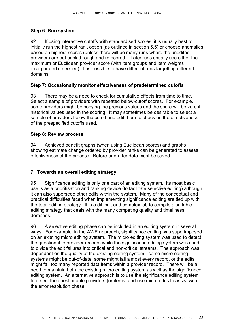## **Step 6: Run system**

92 If using interactive cutoffs with standardised scores, it is usually best to initially run the highest rank option (as outlined in section 5.5) or choose anomalies based on highest scores (unless there will be many runs where the unedited providers are put back through and re-scored). Later runs usually use either the maximum or Euclidean provider score (with item groups and item weights incorporated if needed). It is possible to have different runs targetting different domains.

## **Step 7: Occasionally monitor effectiveness of predetermined cutoffs**

93 There may be a need to check for cumulative effects from time to time. Select a sample of providers with repeated below-cutoff scores. For example, some providers might be copying the previous values and the score will be zero if historical values used in the scoring. It may sometimes be desirable to select a sample of providers below the cutoff and edit them to check on the effectiveness of the prespecified cutoffs used.

## **Step 8: Review process**

94 Achieved benefit graphs (when using Euclidean scores) and graphs showing estimate change ordered by provider ranks can be generated to assess effectiveness of the process. Before-and-after data must be saved.

## **7. Towards an overall editing strategy**

95 Significance editing is only one part of an editing system. Its most basic use is as a prioritisation and ranking device (to facilitate selective editing) although it can also supersede other edits within the system. Many of the conceptual and practical difficulties faced when implementing significance editing are tied up with the total editing strategy. It is a difficult and complex job to compile a suitable editing strategy that deals with the many competing quality and timeliness demands.

96 A selective editing phase can be included in an editing system in several ways. For example, in the AWE approach, significance editing was superimposed on an existing micro editing system. The micro editing system was used to detect the questionable provider records while the significance editing system was used to divide the edit failures into critical and non-critical streams. The approach was dependent on the quality of the existing editing system - some micro editing systems might be out-of-date, some might fail almost every record, or the edits might fail too many reported data items within a provider record. There will be a need to maintain both the existing micro editing system as well as the significance editing system. An alternative approach is to use the significance editing system to detect the questionable providers (or items) and use micro edits to assist with the error resolution phase.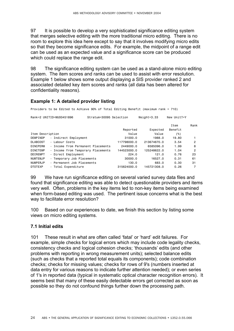97 It is possible to develop a very sophisticated significance editing system that merges selective editing with the more traditional micro editing. There is no room to explore this idea here except to say that it involves modifying micro edits so that they become significance edits. For example, the midpoint of a range edit can be used as an expected value and a significance score can be produced which could replace the range edit.

98 The significance editing system can be used as a stand-alone micro editing system. The item scores and ranks can be used to assist with error resolution. Example 1 below shows some output displaying a SIS provider ranked 2 and associated detailed key item scores and ranks (all data has been altered for confidentiality reasons).

## **Example 1: A detailed provider listing**

Providers to be Edited to Achieve 90% of Total Editing Benefit (maximum rank = 710)

| Rank=2 UNITID=MU00451896          | Stratum=30095 Selection            |             | $Weight = 3.33$ | New Unit?=Y |      |
|-----------------------------------|------------------------------------|-------------|-----------------|-------------|------|
|                                   |                                    |             |                 | Item        | Rank |
|                                   |                                    | Reported    | Expected        | Benefit     |      |
| Item Description                  |                                    | Value       | Value           | (%)         |      |
| DEMPINDP                          | - Indirect Employment              | 31000.0     | 1988.0          | 19.80       |      |
| - Labour Costs<br><b>DLABCOST</b> |                                    | 117798000.0 | 213674670.0     | 3.54        | 2    |
| <b>DINCPERM</b>                   | - Income from Permanent Placements | 2449000.0   | 6585096.0       | 1.99        | 8    |
| <b>DINCTEMP</b>                   | - Income from Temporary Placements | 144523000.0 | 125248622.0     | 1.04        | 2    |
| DDIREMPT                          | - Direct Employment                | 224.0       | 121.0           | 0.76        | 23   |
| <b>NUMTEMJP</b>                   | - Temporary Job Placements         | 30000.0     | 16527.0         | 0.31        | 61   |
| <b>NUMPERJP</b>                   | - Permanent Job Placements         | 130.0       | 683.0           | 0.30        | 31   |
| <b>DTOTEXP</b>                    | - Total Expenditure                | 315624000.0 | 145721308.0     | 0.26        |      |

99 We have run significance editing on several varied survey data files and found that significance editing was able to detect questionable providers and items very well. Often, problems in the key items led to non-key items being examined when form-based editing was used. The pertinent issue concerns what is the best way to facilitate error resolution?

100 Based on our experiences to date, we finish this section by listing some views on micro editing systems.

#### **7.1 Initial edits**

101 These result in what are often called 'fatal' or 'hard' edit failures. For example, simple checks for logical errors which may include code legality checks, consistency checks and logical cohesion checks; 'thousands' edits (and other problems with reporting in wrong measurement units); selected balance edits (such as checks that a reported total equals its components); code combination checks; checks for missing values; checks for rows of 9's (numbers inserted at data entry for various reasons to indicate further attention needed); or even series of 1's in reported data (typical in systematic optical character recognition errors). It seems best that many of these easily detectable errors get corrected as soon as possible so they do not confound things further down the processing path.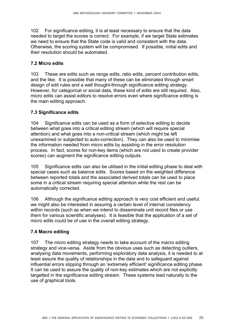102 For significance editing, it is at least necessary to ensure that the data needed to target the scores is correct. For example, if we target State estimates we need to ensure that the State code is valid and consistent with the data. Otherwise, the scoring system will be compromised. If possible, initial edits and their resolution should be automated.

#### **7.2 Micro edits**

103 These are edits such as range edits, ratio edits, percent contribution edits, and the like. It is possible that many of these can be eliminated through smart design of edit rules and a well thought-through significance editing strategy. However, for categorical or social data, these kind of edits are still required. Also, micro edits can assist editors to resolve errors even where significance editing is the main editing approach.

## **7.3 Significance edits**

104 Significance edits can be used as a form of selective editing to decide between what goes into a critical editing stream (which will require special attention) and what goes into a non-critical stream (which might be left unexamined or subjected to auto-correction). They can also be used to minimise the information needed from micro edits by assisting in the error resolution process. In fact, scores for non-key items (which are not used to create provider scores) can augment the significance editing outputs.

105 Significance edits can also be utilised in the initial editing phase to deal with special cases such as balance edits. Scores based on the weighted difference between reported totals and the associated derived totals can be used to place some in a critical stream requiring special attention while the rest can be automatically corrected.

106 Although the significance editing approach is very cost efficient and useful, we might also be interested in assuring a certain level of internal consistency within records (such as when we intend to disseminate unit record files or use them for various scientific analyses). It is feasible that the application of a set of micro edits could be of use in the overall editing strategy.

## **7.4 Macro editing**

107 The micro editing strategy needs to take account of the macro editing strategy and vice-versa. Aside from the obvious uses such as detecting outliers, analysing data movements, performing exploratory data analysis, it is needed to at least assure the quality of relationships in the data and to safeguard against influential errors slipping through an 'extremely efficient' significance editing phase. It can be used to assure the quality of non-key estimates which are not explicitly targetted in the significance editing stream. These systems lead naturally to the use of graphical tools.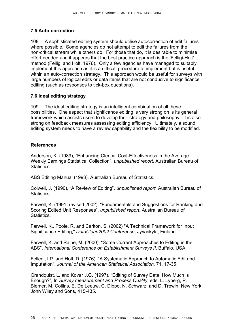## **7.5 Auto-correction**

108 A sophisticated editing system should utilise autocorrection of edit failures where possible. Some agencies do not attempt to edit the failures from the non-critical stream while others do. For those that do, it is desirable to minimise effort needed and it appears that the best practice approach is the 'Felligi-Holt' method (Felligi and Holt, 1976). Only a few agencies have managed to suitably implement this approach as it is a difficult procedure to implement but is useful within an auto-correction strategy. This approach would be useful for surveys with large numbers of logical edits or data items that are not conducive to significance editing (such as responses to tick-box questions).

## **7.6 Ideal editing strategy**

109 The ideal editing strategy is an intelligent combination of all these possibilities. One aspect that significance editing is very strong on is its general framework which assists users to develop their strategy and philosophy. It is also strong on feedback measures assessing editing efficiency. Ultimately, a sound editing system needs to have a review capability and the flexibility to be modified.

#### **References**

Anderson, K. (1989), "Enhancing Clerical Cost-Effectiveness in the Average Weekly Earnings Statistical Collection", *unpublished report*, Australian Bureau of Statistics.

ABS Editing Manual (1993), Australian Bureau of Statistics.

Colwell, J. (1990), "A Review of Editing", *unpublished report*, Australian Bureau of Statistics.

Farwell, K. (1991, revised 2002), "Fundamentals and Suggestions for Ranking and Scoring Edited Unit Responses", *unpublished report*, Australian Bureau of Statistics.

Farwell, K., Poole, R. and Carlton, S. (2002) "A Technical Framework for Input Significance Editing," *DataClean2002 Conference*, Jyvaskyla, Finland.

Farwell, K. and Raine, M. (2000), "Some Current Approaches to Editing in the ABSî, *International Conference on Establishment Surveys II*, Buffalo, USA.

Fellegi, I.P. and Holt, D. (1976), "A Systematic Approach to Automatic Edit and Imputationî, *Journal of the American Statistical Association*, 71, 17-35.

Grandquist, L. and Kovar J.G. (1997), "Editing of Survey Data: How Much is Enough?î, In *Survey measurement and Process Quality*, eds. L. Lyberg, P. Biemer, M. Collins, E. De Leeuw, C. Dippo, N. Schwarz, and D. Trewin, New York: John Wiley and Sons, 415-435.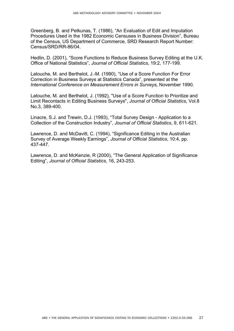Greenberg, B. and Petkunas, T. (1986), "An Evaluation of Edit and Imputation Procedures Used in the 1982 Economic Censuses in Business Divisionî, Bureau of the Census, US Department of Commerce, SRD Research Report Number: Census/SRD/RR-86/04.

Hedlin, D. (2001), "Score Functions to Reduce Business Survey Editing at the U.K. Office of National Statisticsî, *Journal of Official Statistics*, 19:2, 177-199.

Latouche, M. and Berthelot, J.-M. (1990), "Use of a Score Function For Error Correction in Business Surveys at Statistics Canada", presented at the *International Conference on Measurement Errors in Surveys*, November 1990.

Latouche, M. and Berthelot, J. (1992), "Use of a Score Function to Prioritize and Limit Recontacts in Editing Business Surveys", *Journal of Official Statistics*, Vol.8 No.3, 389-400.

Linacre, S.J. and Trewin, D.J. (1993), "Total Survey Design - Application to a Collection of the Construction Industryî, *Journal of Official Statistics*, 9, 611-621.

Lawrence, D. and McDavitt, C. (1994), "Significance Editing in the Australian Survey of Average Weekly Earningsî, *Journal of Official Statistics*, 10:4, pp. 437-447.

Lawrence, D. and McKenzie, R (2000), "The General Application of Significance Editingî, *Journal of Official Statistics*, 16, 243-253.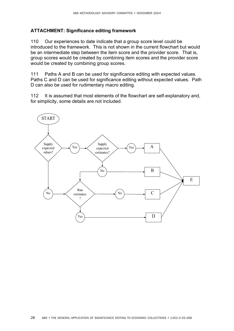#### **ATTACHMENT: Significance editing framework**

110 Our experiences to date indicate that a group score level could be introduced to the framework. This is not shown in the current flowchart but would be an intermediate step between the item score and the provider score. That is, group scores would be created by combining item scores and the provider score would be created by combining group scores.

111 Paths A and B can be used for significance editing with expected values. Paths C and D can be used for significance editing without expected values. Path D can also be used for rudimentary macro editing.

112 It is assumed that most elements of the flowchart are self-explanatory and, for simplicity, some details are not included.

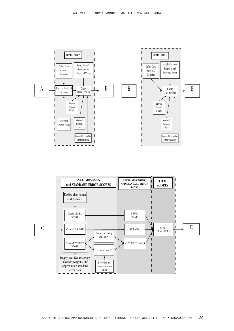



ABS METHODOLOGY ADVISORY COMMITTEE • NOVEMBER 2004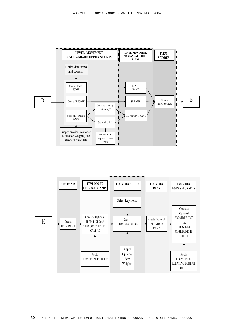